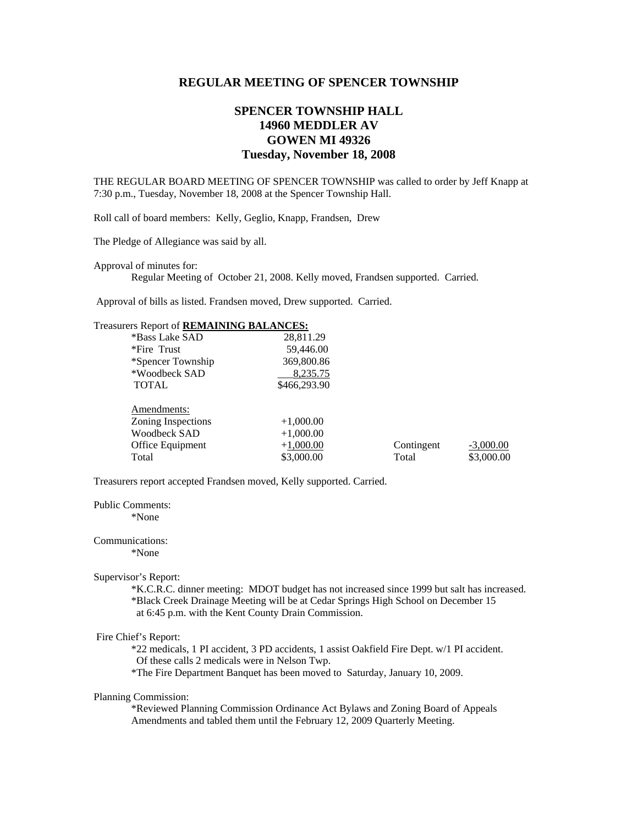### **REGULAR MEETING OF SPENCER TOWNSHIP**

# **SPENCER TOWNSHIP HALL 14960 MEDDLER AV GOWEN MI 49326 Tuesday, November 18, 2008**

THE REGULAR BOARD MEETING OF SPENCER TOWNSHIP was called to order by Jeff Knapp at 7:30 p.m., Tuesday, November 18, 2008 at the Spencer Township Hall.

Roll call of board members: Kelly, Geglio, Knapp, Frandsen, Drew

The Pledge of Allegiance was said by all.

Approval of minutes for:

Regular Meeting of October 21, 2008. Kelly moved, Frandsen supported. Carried.

Approval of bills as listed. Frandsen moved, Drew supported. Carried.

## Treasurers Report of **REMAINING BALANCES:**

| *Bass Lake SAD     | 28,811.29    |            |             |
|--------------------|--------------|------------|-------------|
| *Fire Trust        | 59,446.00    |            |             |
| *Spencer Township  | 369,800.86   |            |             |
| *Woodbeck SAD      | 8,235.75     |            |             |
| <b>TOTAL</b>       | \$466,293.90 |            |             |
| Amendments:        |              |            |             |
| Zoning Inspections | $+1,000.00$  |            |             |
| Woodbeck SAD       | $+1,000.00$  |            |             |
| Office Equipment   | $+1,000.00$  | Contingent | $-3,000.00$ |
| Total              | \$3,000.00   | Total      | \$3,000.00  |
|                    |              |            |             |

Treasurers report accepted Frandsen moved, Kelly supported. Carried.

Public Comments:

\*None

Communications: \*None

#### Supervisor's Report:

 \*K.C.R.C. dinner meeting: MDOT budget has not increased since 1999 but salt has increased. \*Black Creek Drainage Meeting will be at Cedar Springs High School on December 15 at 6:45 p.m. with the Kent County Drain Commission.

#### Fire Chief's Report:

 \*22 medicals, 1 PI accident, 3 PD accidents, 1 assist Oakfield Fire Dept. w/1 PI accident. Of these calls 2 medicals were in Nelson Twp.

\*The Fire Department Banquet has been moved to Saturday, January 10, 2009.

### Planning Commission:

\*Reviewed Planning Commission Ordinance Act Bylaws and Zoning Board of Appeals Amendments and tabled them until the February 12, 2009 Quarterly Meeting.